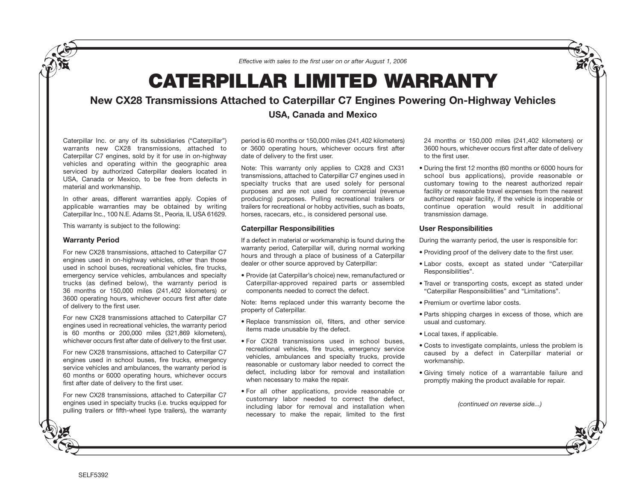*Effective with sales to the first user on or after August 1, 2006*

# **CATERPILLAR LIMITED WARRANTY**

## **New CX28 Transmissions Attached to Caterpillar C7 Engines Powering On-Highway Vehicles**

### **USA, Canada and Mexico**

Caterpillar Inc. or any of its subsidiaries ("Caterpillar") warrants new CX28 transmissions, attached to Caterpillar C7 engines, sold by it for use in on-highway vehicles and operating within the geographic area serviced by authorized Caterpillar dealers located in USA, Canada or Mexico, to be free from defects in material and workmanship.

In other areas, different warranties apply. Copies of applicable warranties may be obtained by writing Caterpillar Inc., 100 N.E. Adams St., Peoria, IL USA 61629.

This warranty is subject to the following:

#### **Warranty Period**

For new CX28 transmissions, attached to Caterpillar C7 engines used in on-highway vehicles, other than those used in school buses, recreational vehicles, fire trucks, emergency service vehicles, ambulances and specialty trucks (as defined below), the warranty period is 36 months or 150,000 miles (241,402 kilometers) or 3600 operating hours, whichever occurs first after date of delivery to the first user.

For new CX28 transmissions attached to Caterpillar C7 engines used in recreational vehicles, the warranty period is 60 months or 200,000 miles (321,869 kilometers), whichever occurs first after date of delivery to the first user.

For new CX28 transmissions, attached to Caterpillar C7 engines used in school buses, fire trucks, emergency service vehicles and ambulances, the warranty period is 60 months or 6000 operating hours, whichever occurs first after date of delivery to the first user.

For new CX28 transmissions, attached to Caterpillar C7 engines used in specialty trucks (i.e. trucks equipped for pulling trailers or fifth-wheel type trailers), the warranty period is 60 months or 150,000 miles (241,402 kilometers) or 3600 operating hours, whichever occurs first after date of delivery to the first user.

Note: This warranty only applies to CX28 and CX31 transmissions, attached to Caterpillar C7 engines used in specialty trucks that are used solely for personal purposes and are not used for commercial (revenue producing) purposes. Pulling recreational trailers or trailers for recreational or hobby activities, such as boats, horses, racecars, etc., is considered personal use.

#### **Caterpillar Responsibilities**

If a defect in material or workmanship is found during the warranty period, Caterpillar will, during normal working hours and through a place of business of a Caterpillar dealer or other source approved by Caterpillar:

• Provide (at Caterpillar's choice) new, remanufactured or Caterpillar-approved repaired parts or assembled components needed to correct the defect.

Note: Items replaced under this warranty become the property of Caterpillar.

- Replace transmission oil, filters, and other service items made unusable by the defect.
- For CX28 transmissions used in school buses, recreational vehicles, fire trucks, emergency service vehicles, ambulances and specialty trucks, provide reasonable or customary labor needed to correct the defect, including labor for removal and installation when necessary to make the repair.
- For all other applications, provide reasonable or customary labor needed to correct the defect, including labor for removal and installation when necessary to make the repair, limited to the first

24 months or 150,000 miles (241,402 kilometers) or 3600 hours, whichever occurs first after date of delivery to the first user.

• During the first 12 months (60 months or 6000 hours for school bus applications), provide reasonable or customary towing to the nearest authorized repair facility or reasonable travel expenses from the nearest authorized repair facility, if the vehicle is inoperable or continue operation would result in additional transmission damage.

#### **User Responsibilities**

During the warranty period, the user is responsible for:

- Providing proof of the delivery date to the first user.
- Labor costs, except as stated under "Caterpillar Responsibilities".
- Travel or transporting costs, except as stated under "Caterpillar Responsibilities" and "Limitations".
- Premium or overtime labor costs.
- Parts shipping charges in excess of those, which are usual and customary.
- Local taxes, if applicable.
- Costs to investigate complaints, unless the problem is caused by a defect in Caterpillar material or workmanship.
- Giving timely notice of a warrantable failure and promptly making the product available for repair.

*(continued on reverse side...)*